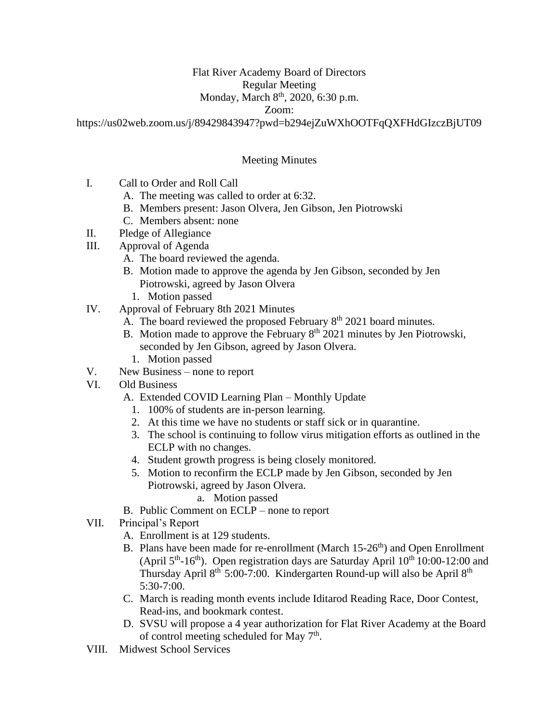# Flat River Academy Board of Directors

## Regular Meeting

## Monday, March 8<sup>th</sup>, 2020, 6:30 p.m.

#### Zoom:

https://us02web.zoom.us/j/89429843947?pwd=b294ejZuWXhOOTFqQXFHdGIzczBjUT09

## Meeting Minutes

- I. Call to Order and Roll Call
	- A. The meeting was called to order at 6:32.
	- B. Members present: Jason Olvera, Jen Gibson, Jen Piotrowski
	- C. Members absent: none
- II. Pledge of Allegiance
- III. Approval of Agenda
	- A. The board reviewed the agenda.
	- B. Motion made to approve the agenda by Jen Gibson, seconded by Jen Piotrowski, agreed by Jason Olvera
		- 1. Motion passed
- IV. Approval of February 8th 2021 Minutes
	- A. The board reviewed the proposed February  $8<sup>th</sup>$  2021 board minutes.
	- B. Motion made to approve the February  $8<sup>th</sup>$  2021 minutes by Jen Piotrowski, seconded by Jen Gibson, agreed by Jason Olvera.
		- 1. Motion passed
- V. New Business none to report
- VI. Old Business
	- A. Extended COVID Learning Plan Monthly Update
		- 1. 100% of students are in-person learning.
		- 2. At this time we have no students or staff sick or in quarantine.
		- 3. The school is continuing to follow virus mitigation efforts as outlined in the ECLP with no changes.
		- 4. Student growth progress is being closely monitored.
		- 5. Motion to reconfirm the ECLP made by Jen Gibson, seconded by Jen Piotrowski, agreed by Jason Olvera.
			- a. Motion passed
	- B. Public Comment on ECLP none to report
- VII. Principal's Report
	- A. Enrollment is at 129 students.
	- B. Plans have been made for re-enrollment (March  $15{\text -}26^{\text{th}}$ ) and Open Enrollment (April  $5<sup>th</sup>$ -16<sup>th</sup>). Open registration days are Saturday April  $10<sup>th</sup>$  10:00-12:00 and Thursday April 8th 5:00-7:00. Kindergarten Round-up will also be April 8th 5:30-7:00.
	- C. March is reading month events include Iditarod Reading Race, Door Contest, Read-ins, and bookmark contest.
	- D. SVSU will propose a 4 year authorization for Flat River Academy at the Board of control meeting scheduled for May 7<sup>th</sup>.
- VIII. Midwest School Services